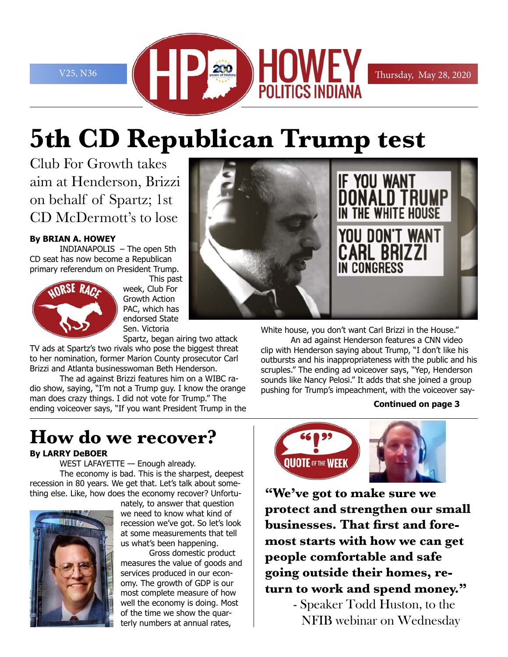

# **5th CD Republican Trump test**

Club For Growth takes aim at Henderson, Brizzi on behalf of Spartz; 1st CD McDermott's to lose

### **By BRIAN A. HOWEY**

INDIANAPOLIS – The open 5th CD seat has now become a Republican primary referendum on President Trump.



This past week, Club For Growth Action PAC, which has endorsed State Sen. Victoria

Spartz, began airing two attack TV ads at Spartz's two rivals who pose the biggest threat to her nomination, former Marion County prosecutor Carl Brizzi and Atlanta businesswoman Beth Henderson.

The ad against Brizzi features him on a WIBC radio show, saying, "I'm not a Trump guy. I know the orange man does crazy things. I did not vote for Trump." The ending voiceover says, "If you want President Trump in the

# **How do we recover?**

### **By LARRY DeBOER**

WEST LAFAYETTE — Enough already. The economy is bad. This is the sharpest, deepest recession in 80 years. We get that. Let's talk about something else. Like, how does the economy recover? Unfortu-



nately, to answer that question we need to know what kind of recession we've got. So let's look at some measurements that tell us what's been happening.

Gross domestic product measures the value of goods and services produced in our economy. The growth of GDP is our most complete measure of how well the economy is doing. Most of the time we show the quarterly numbers at annual rates,



White house, you don't want Carl Brizzi in the House."

An ad against Henderson features a CNN video clip with Henderson saying about Trump, "I don't like his outbursts and his inappropriateness with the public and his scruples." The ending ad voiceover says, "Yep, Henderson sounds like Nancy Pelosi." It adds that she joined a group pushing for Trump's impeachment, with the voiceover say-

### **Continued on page 3**



**"We've got to make sure we protect and strengthen our small businesses. That first and foremost starts with how we can get people comfortable and safe going outside their homes, return to work and spend money."**

> - Speaker Todd Huston, to the NFIB webinar on Wednesday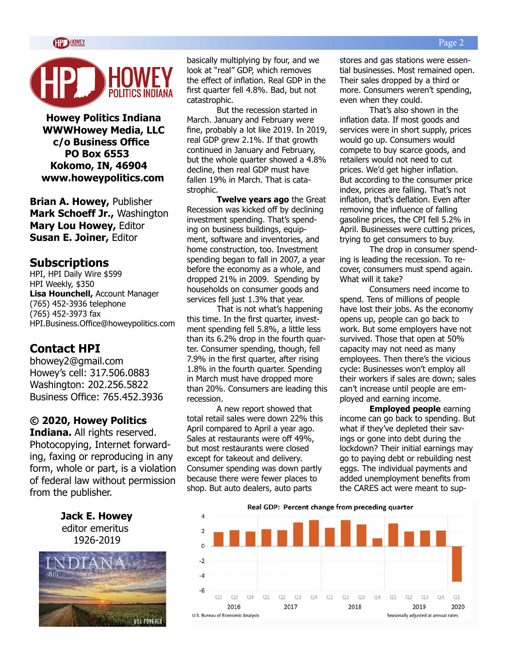



**Howey Politics Indiana WWWHowey Media, LLC c/o Business Office PO Box 6553 Kokomo, IN, 46904 www.howeypolitics.com**

**Brian A. Howey,** Publisher **Mark Schoeff Jr.,** Washington **Mary Lou Howey,** Editor **Susan E. Joiner,** Editor

### **Subscriptions**

HPI, HPI Daily Wire \$599 HPI Weekly, \$350 **Lisa Hounchell,** Account Manager (765) 452-3936 telephone (765) 452-3973 fax HPI.Business.Office@howeypolitics.com

### **Contact HPI**

bhowey2@gmail.com Howey's cell: 317.506.0883 Washington: 202.256.5822 Business Office: 765.452.3936

### **© 2020, Howey Politics**

**Indiana.** All rights reserved. Photocopying, Internet forwarding, faxing or reproducing in any form, whole or part, is a violation of federal law without permission from the publisher.

> **Jack E. Howey** editor emeritus 1926-2019



basically multiplying by four, and we look at "real" GDP, which removes the effect of inflation. Real GDP in the first quarter fell 4.8%. Bad, but not catastrophic.

But the recession started in March. January and February were fine, probably a lot like 2019. In 2019, real GDP grew 2.1%. If that growth continued in January and February, but the whole quarter showed a 4.8% decline, then real GDP must have fallen 19% in March. That is catastrophic.

**Twelve years ago** the Great Recession was kicked off by declining investment spending. That's spending on business buildings, equipment, software and inventories, and home construction, too. Investment spending began to fall in 2007, a year before the economy as a whole, and dropped 21% in 2009. Spending by households on consumer goods and services fell just 1.3% that year.

That is not what's happening this time. In the first quarter, investment spending fell 5.8%, a little less than its 6.2% drop in the fourth quarter. Consumer spending, though, fell 7.9% in the first quarter, after rising 1.8% in the fourth quarter. Spending in March must have dropped more than 20%. Consumers are leading this recession.

A new report showed that total retail sales were down 22% this April compared to April a year ago. Sales at restaurants were off 49%, but most restaurants were closed except for takeout and delivery. Consumer spending was down partly because there were fewer places to shop. But auto dealers, auto parts

stores and gas stations were essential businesses. Most remained open. Their sales dropped by a third or more. Consumers weren't spending, even when they could.

That's also shown in the inflation data. If most goods and services were in short supply, prices would go up. Consumers would compete to buy scarce goods, and retailers would not need to cut prices. We'd get higher inflation. But according to the consumer price index, prices are falling. That's not inflation, that's deflation. Even after removing the influence of falling gasoline prices, the CPI fell 5.2% in April. Businesses were cutting prices, trying to get consumers to buy.

The drop in consumer spending is leading the recession. To recover, consumers must spend again. What will it take?

Consumers need income to spend. Tens of millions of people have lost their jobs. As the economy opens up, people can go back to work. But some employers have not survived. Those that open at 50% capacity may not need as many employees. Then there's the vicious cycle: Businesses won't employ all their workers if sales are down; sales can't increase until people are employed and earning income.

**Employed people** earning income can go back to spending. But what if they've depleted their savings or gone into debt during the lockdown? Their initial earnings may go to paying debt or rebuilding nest eggs. The individual payments and added unemployment benefits from the CARES act were meant to sup-

Real GDP: Percent change from preceding quarter

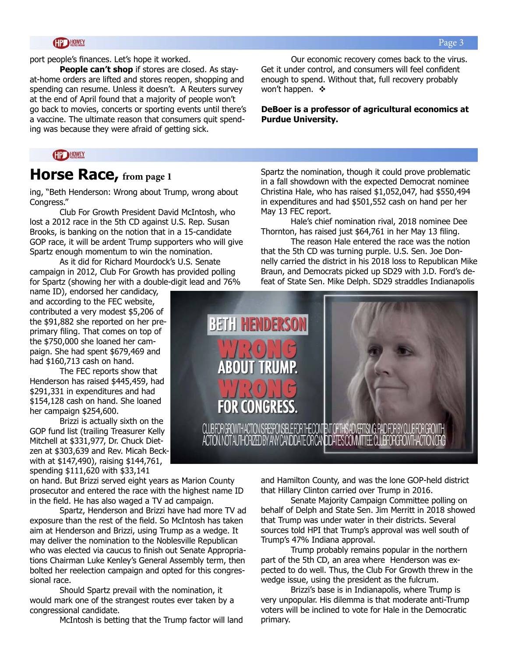port people's finances. Let's hope it worked.

**People can't shop** if stores are closed. As stayat-home orders are lifted and stores reopen, shopping and spending can resume. Unless it doesn't. A Reuters survey at the end of April found that a majority of people won't go back to movies, concerts or sporting events until there's a vaccine. The ultimate reason that consumers quit spending was because they were afraid of getting sick.

Our economic recovery comes back to the virus. Get it under control, and consumers will feel confident enough to spend. Without that, full recovery probably won't happen.  $\mathbf{\hat{v}}$ 

**DeBoer is a professor of agricultural economics at Purdue University.** 

### **CIP HOWEY**

### **Horse Race, from page 1**

ing, "Beth Henderson: Wrong about Trump, wrong about Congress."

Club For Growth President David McIntosh, who lost a 2012 race in the 5th CD against U.S. Rep. Susan Brooks, is banking on the notion that in a 15-candidate GOP race, it will be ardent Trump supporters who will give Spartz enough momentum to win the nomination.

As it did for Richard Mourdock's U.S. Senate campaign in 2012, Club For Growth has provided polling for Spartz (showing her with a double-digit lead and 76%

name ID), endorsed her candidacy, and according to the FEC website, contributed a very modest \$5,206 of the \$91,882 she reported on her preprimary filing. That comes on top of the \$750,000 she loaned her campaign. She had spent \$679,469 and had \$160,713 cash on hand.

The FEC reports show that Henderson has raised \$445,459, had \$291,331 in expenditures and had \$154,128 cash on hand. She loaned her campaign \$254,600.

Brizzi is actually sixth on the GOP fund list (trailing Treasurer Kelly Mitchell at \$331,977, Dr. Chuck Dietzen at \$303,639 and Rev. Micah Beckwith at \$147,490), raising \$144,761, spending \$111,620 with \$33,141

on hand. But Brizzi served eight years as Marion County prosecutor and entered the race with the highest name ID in the field. He has also waged a TV ad campaign.

Spartz, Henderson and Brizzi have had more TV ad exposure than the rest of the field. So McIntosh has taken aim at Henderson and Brizzi, using Trump as a wedge. It may deliver the nomination to the Noblesville Republican who was elected via caucus to finish out Senate Appropriations Chairman Luke Kenley's General Assembly term, then bolted her reelection campaign and opted for this congressional race.

Should Spartz prevail with the nomination, it would mark one of the strangest routes ever taken by a congressional candidate.

McIntosh is betting that the Trump factor will land

Spartz the nomination, though it could prove problematic in a fall showdown with the expected Democrat nominee Christina Hale, who has raised \$1,052,047, had \$550,494 in expenditures and had \$501,552 cash on hand per her May 13 FEC report.

Hale's chief nomination rival, 2018 nominee Dee Thornton, has raised just \$64,761 in her May 13 filing.

The reason Hale entered the race was the notion that the 5th CD was turning purple. U.S. Sen. Joe Donnelly carried the district in his 2018 loss to Republican Mike Braun, and Democrats picked up SD29 with J.D. Ford's defeat of State Sen. Mike Delph. SD29 straddles Indianapolis



and Hamilton County, and was the lone GOP-held district that Hillary Clinton carried over Trump in 2016.

Senate Majority Campaign Committee polling on behalf of Delph and State Sen. Jim Merritt in 2018 showed that Trump was under water in their districts. Several sources told HPI that Trump's approval was well south of Trump's 47% Indiana approval.

Trump probably remains popular in the northern part of the 5th CD, an area where Henderson was expected to do well. Thus, the Club For Growth threw in the wedge issue, using the president as the fulcrum.

Brizzi's base is in Indianapolis, where Trump is very unpopular. His dilemma is that moderate anti-Trump voters will be inclined to vote for Hale in the Democratic primary.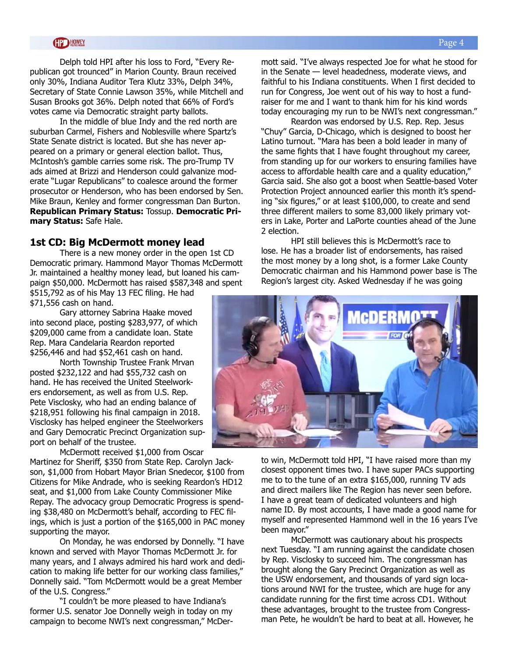Delph told HPI after his loss to Ford, "Every Republican got trounced" in Marion County. Braun received only 30%, Indiana Auditor Tera Klutz 33%, Delph 34%, Secretary of State Connie Lawson 35%, while Mitchell and Susan Brooks got 36%. Delph noted that 66% of Ford's votes came via Democratic straight party ballots.

In the middle of blue Indy and the red north are suburban Carmel, Fishers and Noblesville where Spartz's State Senate district is located. But she has never appeared on a primary or general election ballot. Thus, McIntosh's gamble carries some risk. The pro-Trump TV ads aimed at Brizzi and Henderson could galvanize moderate "Lugar Republicans" to coalesce around the former prosecutor or Henderson, who has been endorsed by Sen. Mike Braun, Kenley and former congressman Dan Burton. **Republican Primary Status:** Tossup. **Democratic Primary Status:** Safe Hale.

### **1st CD: Big McDermott money lead**

There is a new money order in the open 1st CD Democratic primary. Hammond Mayor Thomas McDermott Jr. maintained a healthy money lead, but loaned his campaign \$50,000. McDermott has raised \$587,348 and spent \$515,792 as of his May 13 FEC filing. He had \$71,556 cash on hand.

Gary attorney Sabrina Haake moved into second place, posting \$283,977, of which \$209,000 came from a candidate loan. State Rep. Mara Candelaria Reardon reported \$256,446 and had \$52,461 cash on hand.

North Township Trustee Frank Mrvan posted \$232,122 and had \$55,732 cash on hand. He has received the United Steelworkers endorsement, as well as from U.S. Rep. Pete Visclosky, who had an ending balance of \$218,951 following his final campaign in 2018. Visclosky has helped engineer the Steelworkers and Gary Democratic Precinct Organization support on behalf of the trustee.

McDermott received \$1,000 from Oscar Martinez for Sheriff, \$350 from State Rep. Carolyn Jackson, \$1,000 from Hobart Mayor Brian Snedecor, \$100 from Citizens for Mike Andrade, who is seeking Reardon's HD12 seat, and \$1,000 from Lake County Commissioner Mike Repay. The advocacy group Democratic Progress is spending \$38,480 on McDermott's behalf, according to FEC filings, which is just a portion of the \$165,000 in PAC money supporting the mayor.

On Monday, he was endorsed by Donnelly. "I have known and served with Mayor Thomas McDermott Jr. for many years, and I always admired his hard work and dedication to making life better for our working class families," Donnelly said. "Tom McDermott would be a great Member of the U.S. Congress."

"I couldn't be more pleased to have Indiana's former U.S. senator Joe Donnelly weigh in today on my campaign to become NWI's next congressman," McDermott said. "I've always respected Joe for what he stood for in the Senate — level headedness, moderate views, and faithful to his Indiana constituents. When I first decided to run for Congress, Joe went out of his way to host a fundraiser for me and I want to thank him for his kind words today encouraging my run to be NWI's next congressman."

Reardon was endorsed by U.S. Rep. Rep. Jesus "Chuy" Garcia, D-Chicago, which is designed to boost her Latino turnout. "Mara has been a bold leader in many of the same fights that I have fought throughout my career, from standing up for our workers to ensuring families have access to affordable health care and a quality education," Garcia said. She also got a boost when Seattle-based Voter Protection Project announced earlier this month it's spending "six figures," or at least \$100,000, to create and send three different mailers to some 83,000 likely primary voters in Lake, Porter and LaPorte counties ahead of the June 2 election.

HPI still believes this is McDermott's race to lose. He has a broader list of endorsements, has raised the most money by a long shot, is a former Lake County Democratic chairman and his Hammond power base is The Region's largest city. Asked Wednesday if he was going



closest opponent times two. I have super PACs supporting me to to the tune of an extra \$165,000, running TV ads and direct mailers like The Region has never seen before. I have a great team of dedicated volunteers and high name ID. By most accounts, I have made a good name for myself and represented Hammond well in the 16 years I've been mayor."

McDermott was cautionary about his prospects next Tuesday. "I am running against the candidate chosen by Rep. Visclosky to succeed him. The congressman has brought along the Gary Precinct Organization as well as the USW endorsement, and thousands of yard sign locations around NWI for the trustee, which are huge for any candidate running for the first time across CD1. Without these advantages, brought to the trustee from Congressman Pete, he wouldn't be hard to beat at all. However, he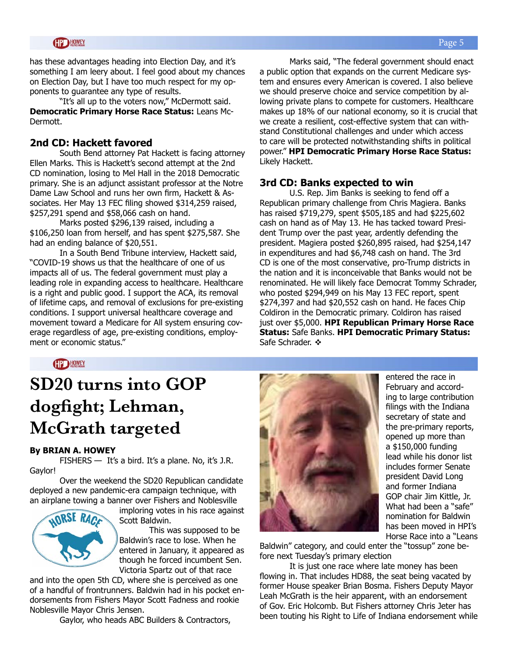has these advantages heading into Election Day, and it's something I am leery about. I feel good about my chances on Election Day, but I have too much respect for my opponents to guarantee any type of results.

"It's all up to the voters now," McDermott said. **Democratic Primary Horse Race Status:** Leans Mc-Dermott.

### **2nd CD: Hackett favored**

South Bend attorney Pat Hackett is facing attorney Ellen Marks. This is Hackett's second attempt at the 2nd CD nomination, losing to Mel Hall in the 2018 Democratic primary. She is an adjunct assistant professor at the Notre Dame Law School and runs her own firm, Hackett & Associates. Her May 13 FEC filing showed \$314,259 raised, \$257,291 spend and \$58,066 cash on hand.

Marks posted \$296,139 raised, including a \$106,250 loan from herself, and has spent \$275,587. She had an ending balance of \$20,551.

In a South Bend Tribune interview, Hackett said, "COVID-19 shows us that the healthcare of one of us impacts all of us. The federal government must play a leading role in expanding access to healthcare. Healthcare is a right and public good. I support the ACA, its removal of lifetime caps, and removal of exclusions for pre-existing conditions. I support universal healthcare coverage and movement toward a Medicare for All system ensuring coverage regardless of age, pre-existing conditions, employment or economic status."

Marks said, "The federal government should enact a public option that expands on the current Medicare system and ensures every American is covered. I also believe we should preserve choice and service competition by allowing private plans to compete for customers. Healthcare makes up 18% of our national economy, so it is crucial that we create a resilient, cost-effective system that can withstand Constitutional challenges and under which access to care will be protected notwithstanding shifts in political power." **HPI Democratic Primary Horse Race Status:**  Likely Hackett.

### **3rd CD: Banks expected to win**

U.S. Rep. Jim Banks is seeking to fend off a Republican primary challenge from Chris Magiera. Banks has raised \$719,279, spent \$505,185 and had \$225,602 cash on hand as of May 13. He has tacked toward President Trump over the past year, ardently defending the president. Magiera posted \$260,895 raised, had \$254,147 in expenditures and had \$6,748 cash on hand. The 3rd CD is one of the most conservative, pro-Trump districts in the nation and it is inconceivable that Banks would not be renominated. He will likely face Democrat Tommy Schrader, who posted \$294,949 on his May 13 FEC report, spent \$274,397 and had \$20,552 cash on hand. He faces Chip Coldiron in the Democratic primary. Coldiron has raised just over \$5,000. **HPI Republican Primary Horse Race Status:** Safe Banks. **HPI Democratic Primary Status:** Safe Schrader.  $\cdot$ 

**HP HOWEY** 

# **SD20 turns into GOP dogfight; Lehman, McGrath targeted**

#### **By BRIAN A. HOWEY**

FISHERS — It's a bird. It's a plane. No, it's J.R. Gaylor!

Over the weekend the SD20 Republican candidate deployed a new pandemic-era campaign technique, with an airplane towing a banner over Fishers and Noblesville



imploring votes in his race against Scott Baldwin.

This was supposed to be Baldwin's race to lose. When he entered in January, it appeared as though he forced incumbent Sen. Victoria Spartz out of that race

and into the open 5th CD, where she is perceived as one of a handful of frontrunners. Baldwin had in his pocket endorsements from Fishers Mayor Scott Fadness and rookie Noblesville Mayor Chris Jensen.

Gaylor, who heads ABC Builders & Contractors,



entered the race in February and according to large contribution filings with the Indiana secretary of state and the pre-primary reports, opened up more than a \$150,000 funding lead while his donor list includes former Senate president David Long and former Indiana GOP chair Jim Kittle, Jr. What had been a "safe" nomination for Baldwin has been moved in HPI's Horse Race into a "Leans

Baldwin" category, and could enter the "tossup" zone before next Tuesday's primary election

It is just one race where late money has been flowing in. That includes HD88, the seat being vacated by former House speaker Brian Bosma. Fishers Deputy Mayor Leah McGrath is the heir apparent, with an endorsement of Gov. Eric Holcomb. But Fishers attorney Chris Jeter has been touting his Right to Life of Indiana endorsement while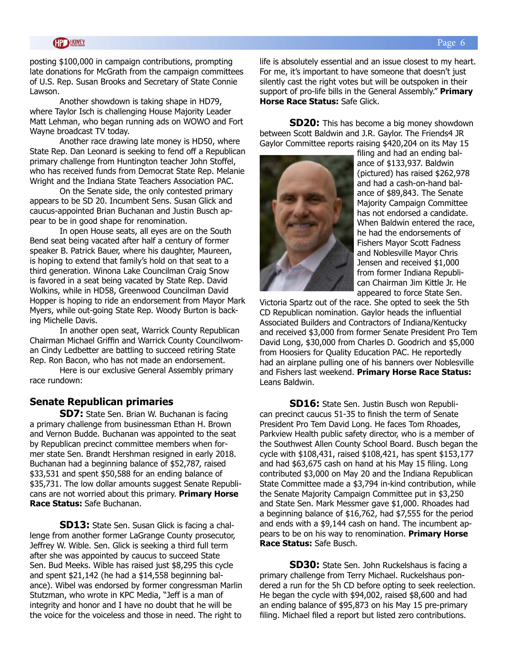posting \$100,000 in campaign contributions, prompting late donations for McGrath from the campaign committees of U.S. Rep. Susan Brooks and Secretary of State Connie Lawson.

Another showdown is taking shape in HD79, where Taylor Isch is challenging House Majority Leader Matt Lehman, who began running ads on WOWO and Fort Wayne broadcast TV today.

Another race drawing late money is HD50, where State Rep. Dan Leonard is seeking to fend off a Republican primary challenge from Huntington teacher John Stoffel, who has received funds from Democrat State Rep. Melanie Wright and the Indiana State Teachers Association PAC.

On the Senate side, the only contested primary appears to be SD 20. Incumbent Sens. Susan Glick and caucus-appointed Brian Buchanan and Justin Busch appear to be in good shape for renomination.

In open House seats, all eyes are on the South Bend seat being vacated after half a century of former speaker B. Patrick Bauer, where his daughter, Maureen, is hoping to extend that family's hold on that seat to a third generation. Winona Lake Councilman Craig Snow is favored in a seat being vacated by State Rep. David Wolkins, while in HD58, Greenwood Councilman David Hopper is hoping to ride an endorsement from Mayor Mark Myers, while out-going State Rep. Woody Burton is backing Michelle Davis.

In another open seat, Warrick County Republican Chairman Michael Griffin and Warrick County Councilwoman Cindy Ledbetter are battling to succeed retiring State Rep. Ron Bacon, who has not made an endorsement.

Here is our exclusive General Assembly primary race rundown:

### **Senate Republican primaries**

**SD7:** State Sen. Brian W. Buchanan is facing a primary challenge from businessman Ethan H. Brown and Vernon Budde. Buchanan was appointed to the seat by Republican precinct committee members when former state Sen. Brandt Hershman resigned in early 2018. Buchanan had a beginning balance of \$52,787, raised \$33,531 and spent \$50,588 for an ending balance of \$35,731. The low dollar amounts suggest Senate Republicans are not worried about this primary. **Primary Horse Race Status:** Safe Buchanan.

**SD13:** State Sen. Susan Glick is facing a challenge from another former LaGrange County prosecutor, Jeffrey W. Wible. Sen. Glick is seeking a third full term after she was appointed by caucus to succeed State Sen. Bud Meeks. Wible has raised just \$8,295 this cycle and spent \$21,142 (he had a \$14,558 beginning balance). Wibel was endorsed by former congressman Marlin Stutzman, who wrote in KPC Media, "Jeff is a man of integrity and honor and I have no doubt that he will be the voice for the voiceless and those in need. The right to

life is absolutely essential and an issue closest to my heart. For me, it's important to have someone that doesn't just silently cast the right votes but will be outspoken in their support of pro-life bills in the General Assembly." **Primary Horse Race Status:** Safe Glick.

**SD20:** This has become a big money showdown between Scott Baldwin and J.R. Gaylor. The Friends4 JR Gaylor Committee reports raising \$420,204 on its May 15



filing and had an ending balance of \$133,937. Baldwin (pictured) has raised \$262,978 and had a cash-on-hand balance of \$89,843. The Senate Majority Campaign Committee has not endorsed a candidate. When Baldwin entered the race, he had the endorsements of Fishers Mayor Scott Fadness and Noblesville Mayor Chris Jensen and received \$1,000 from former Indiana Republican Chairman Jim Kittle Jr. He appeared to force State Sen.

Victoria Spartz out of the race. She opted to seek the 5th CD Republican nomination. Gaylor heads the influential Associated Builders and Contractors of Indiana/Kentucky and received \$3,000 from former Senate President Pro Tem David Long, \$30,000 from Charles D. Goodrich and \$5,000 from Hoosiers for Quality Education PAC. He reportedly had an airplane pulling one of his banners over Noblesville and Fishers last weekend. **Primary Horse Race Status:**  Leans Baldwin.

**SD16:** State Sen. Justin Busch won Republican precinct caucus 51-35 to finish the term of Senate President Pro Tem David Long. He faces Tom Rhoades, Parkview Health public safety director, who is a member of the Southwest Allen County School Board. Busch began the cycle with \$108,431, raised \$108,421, has spent \$153,177 and had \$63,675 cash on hand at his May 15 filing. Long contributed \$3,000 on May 20 and the Indiana Republican State Committee made a \$3,794 in-kind contribution, while the Senate Majority Campaign Committee put in \$3,250 and State Sen. Mark Messmer gave \$1,000. Rhoades had a beginning balance of \$16,762, had \$7,555 for the period and ends with a \$9,144 cash on hand. The incumbent appears to be on his way to renomination. **Primary Horse Race Status:** Safe Busch.

**SD30:** State Sen. John Ruckelshaus is facing a primary challenge from Terry Michael. Ruckelshaus pondered a run for the 5h CD before opting to seek reelection. He began the cycle with \$94,002, raised \$8,600 and had an ending balance of \$95,873 on his May 15 pre-primary filing. Michael filed a report but listed zero contributions.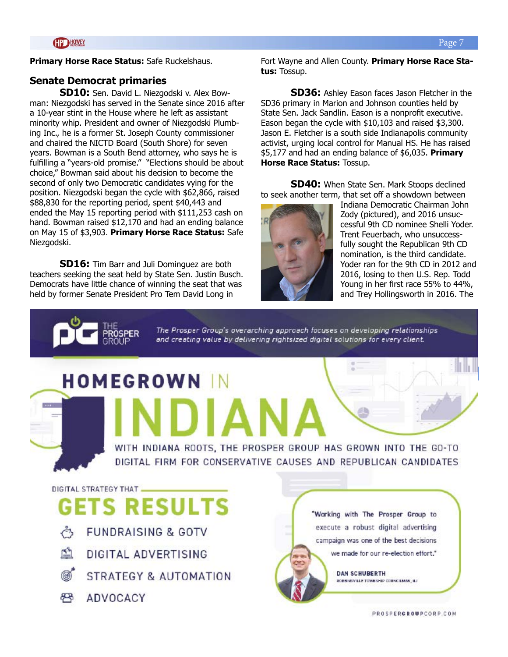**Primary Horse Race Status:** Safe Ruckelshaus.

### **Senate Democrat primaries**

**SD10:** Sen. David L. Niezgodski v. Alex Bowman: Niezgodski has served in the Senate since 2016 after a 10-year stint in the House where he left as assistant minority whip. President and owner of Niezgodski Plumbing Inc., he is a former St. Joseph County commissioner and chaired the NICTD Board (South Shore) for seven years. Bowman is a South Bend attorney, who says he is fulfilling a "years-old promise." "Elections should be about choice," Bowman said about his decision to become the second of only two Democratic candidates vying for the position. Niezgodski began the cycle with \$62,866, raised \$88,830 for the reporting period, spent \$40,443 and ended the May 15 reporting period with \$111,253 cash on hand. Bowman raised \$12,170 and had an ending balance on May 15 of \$3,903. **Primary Horse Race Status:** Safe Niezgodski.

**SD16:** Tim Barr and Juli Dominguez are both teachers seeking the seat held by State Sen. Justin Busch. Democrats have little chance of winning the seat that was held by former Senate President Pro Tem David Long in

Fort Wayne and Allen County. **Primary Horse Race Status:** Tossup.

**SD36:** Ashley Eason faces Jason Fletcher in the SD36 primary in Marion and Johnson counties held by State Sen. Jack Sandlin. Eason is a nonprofit executive. Eason began the cycle with \$10,103 and raised \$3,300. Jason E. Fletcher is a south side Indianapolis community activist, urging local control for Manual HS. He has raised \$5,177 and had an ending balance of \$6,035. **Primary Horse Race Status:** Tossup.

**SD40:** When State Sen. Mark Stoops declined to seek another term, that set off a showdown between



Indiana Democratic Chairman John Zody (pictured), and 2016 unsuccessful 9th CD nominee Shelli Yoder. Trent Feuerbach, who unsuccessfully sought the Republican 9th CD nomination, is the third candidate. Yoder ran for the 9th CD in 2012 and 2016, losing to then U.S. Rep. Todd Young in her first race 55% to 44%, and Trey Hollingsworth in 2016. The



**SER** 

The Prosper Group's overarching approach focuses on developing relationships and creating value by delivering rightsized digital solutions for every client.

WITH INDIANA ROOTS, THE PROSPER GROUP HAS GROWN INTO THE GO-TO DIGITAL FIRM FOR CONSERVATIVE CAUSES AND REPUBLICAN CANDIDATES.

# **HOMEGROWN**

DIGITAL STRATEGY THAT

# **GETS RESULTS**

- **FUNDRAISING & GOTV**  $\zeta$
- 囹 DIGITAL ADVERTISING
- STRATEGY & AUTOMATION
- **ADVOCACY**



**DAN SCHUBERTH** ROBBINSVILLE TOWNSHIP COUNCILMAN, NJ

PROSPERGROUPCORP.COM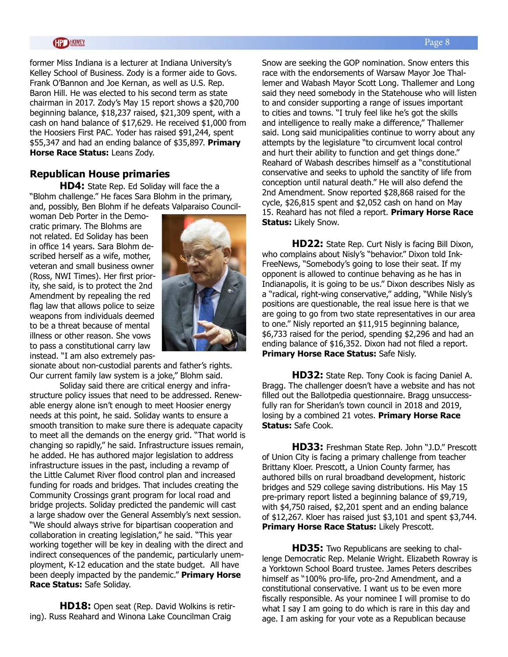former Miss Indiana is a lecturer at Indiana University's Kelley School of Business. Zody is a former aide to Govs. Frank O'Bannon and Joe Kernan, as well as U.S. Rep. Baron Hill. He was elected to his second term as state chairman in 2017. Zody's May 15 report shows a \$20,700 beginning balance, \$18,237 raised, \$21,309 spent, with a cash on hand balance of \$17,629. He received \$1,000 from the Hoosiers First PAC. Yoder has raised \$91,244, spent \$55,347 and had an ending balance of \$35,897. **Primary Horse Race Status:** Leans Zody.

### **Republican House primaries**

**HD4:** State Rep. Ed Soliday will face the a "Blohm challenge." He faces Sara Blohm in the primary, and, possibly, Ben Blohm if he defeats Valparaiso Council-

woman Deb Porter in the Democratic primary. The Blohms are not related. Ed Soliday has been in office 14 years. Sara Blohm described herself as a wife, mother, veteran and small business owner (Ross, NWI Times). Her first priority, she said, is to protect the 2nd Amendment by repealing the red flag law that allows police to seize weapons from individuals deemed to be a threat because of mental illness or other reason. She vows to pass a constitutional carry law instead. "I am also extremely pas-



sionate about non-custodial parents and father's rights. Our current family law system is a joke," Blohm said.

Soliday said there are critical energy and infrastructure policy issues that need to be addressed. Renewable energy alone isn't enough to meet Hoosier energy needs at this point, he said. Soliday wants to ensure a smooth transition to make sure there is adequate capacity to meet all the demands on the energy grid. "That world is changing so rapidly," he said. Infrastructure issues remain, he added. He has authored major legislation to address infrastructure issues in the past, including a revamp of the Little Calumet River flood control plan and increased funding for roads and bridges. That includes creating the Community Crossings grant program for local road and bridge projects. Soliday predicted the pandemic will cast a large shadow over the General Assembly's next session. "We should always strive for bipartisan cooperation and collaboration in creating legislation," he said. "This year working together will be key in dealing with the direct and indirect consequences of the pandemic, particularly unemployment, K-12 education and the state budget. All have been deeply impacted by the pandemic." **Primary Horse Race Status:** Safe Soliday.

**HD18:** Open seat (Rep. David Wolkins is retiring). Russ Reahard and Winona Lake Councilman Craig

Snow are seeking the GOP nomination. Snow enters this race with the endorsements of Warsaw Mayor Joe Thallemer and Wabash Mayor Scott Long. Thallemer and Long said they need somebody in the Statehouse who will listen to and consider supporting a range of issues important to cities and towns. "I truly feel like he's got the skills and intelligence to really make a difference," Thallemer said. Long said municipalities continue to worry about any attempts by the legislature "to circumvent local control and hurt their ability to function and get things done." Reahard of Wabash describes himself as a "constitutional conservative and seeks to uphold the sanctity of life from conception until natural death." He will also defend the 2nd Amendment. Snow reported \$28,868 raised for the cycle, \$26,815 spent and \$2,052 cash on hand on May 15. Reahard has not filed a report. **Primary Horse Race Status:** Likely Snow.

**HD22:** State Rep. Curt Nisly is facing Bill Dixon, who complains about Nisly's "behavior." Dixon told Ink-FreeNews, "Somebody's going to lose their seat. If my opponent is allowed to continue behaving as he has in Indianapolis, it is going to be us." Dixon describes Nisly as a "radical, right-wing conservative," adding, "While Nisly's positions are questionable, the real issue here is that we are going to go from two state representatives in our area to one." Nisly reported an \$11,915 beginning balance, \$6,733 raised for the period, spending \$2,296 and had an ending balance of \$16,352. Dixon had not filed a report. **Primary Horse Race Status:** Safe Nisly.

**HD32:** State Rep. Tony Cook is facing Daniel A. Bragg. The challenger doesn't have a website and has not filled out the Ballotpedia questionnaire. Bragg unsuccessfully ran for Sheridan's town council in 2018 and 2019, losing by a combined 21 votes. **Primary Horse Race Status:** Safe Cook.

**HD33:** Freshman State Rep. John "J.D." Prescott of Union City is facing a primary challenge from teacher Brittany Kloer. Prescott, a Union County farmer, has authored bills on rural broadband development, historic bridges and 529 college saving distributions. His May 15 pre-primary report listed a beginning balance of \$9,719, with \$4,750 raised, \$2,201 spent and an ending balance of \$12,267. Kloer has raised just \$3,101 and spent \$3,744. **Primary Horse Race Status:** Likely Prescott.

**HD35:** Two Republicans are seeking to challenge Democratic Rep. Melanie Wright. Elizabeth Rowray is a Yorktown School Board trustee. James Peters describes himself as "100% pro-life, pro-2nd Amendment, and a constitutional conservative. I want us to be even more fiscally responsible. As your nominee I will promise to do what I say I am going to do which is rare in this day and age. I am asking for your vote as a Republican because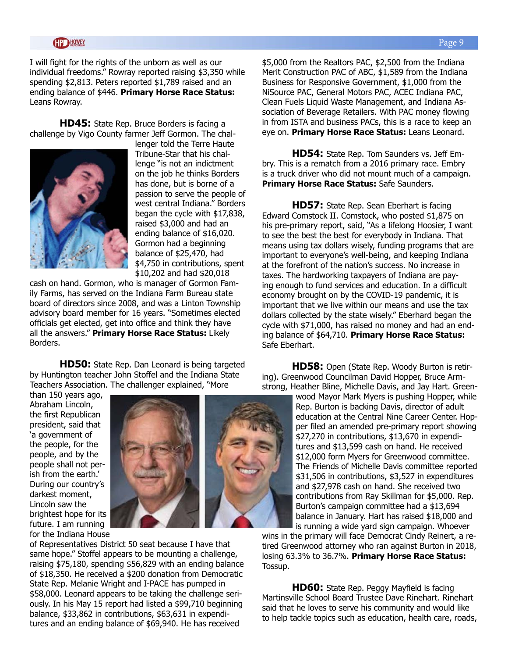I will fight for the rights of the unborn as well as our individual freedoms." Rowray reported raising \$3,350 while spending \$2,813. Peters reported \$1,789 raised and an ending balance of \$446. **Primary Horse Race Status:** Leans Rowray.

**HD45:** State Rep. Bruce Borders is facing a challenge by Vigo County farmer Jeff Gormon. The chal-



lenger told the Terre Haute Tribune-Star that his challenge "is not an indictment on the job he thinks Borders has done, but is borne of a passion to serve the people of west central Indiana." Borders began the cycle with \$17,838, raised \$3,000 and had an ending balance of \$16,020. Gormon had a beginning balance of \$25,470, had \$4,750 in contributions, spent \$10,202 and had \$20,018

cash on hand. Gormon, who is manager of Gormon Family Farms, has served on the Indiana Farm Bureau state board of directors since 2008, and was a Linton Township advisory board member for 16 years. "Sometimes elected officials get elected, get into office and think they have all the answers." **Primary Horse Race Status:** Likely Borders.

**HD50:** State Rep. Dan Leonard is being targeted by Huntington teacher John Stoffel and the Indiana State Teachers Association. The challenger explained, "More

than 150 years ago, Abraham Lincoln, the first Republican president, said that 'a government of the people, for the people, and by the people shall not perish from the earth.' During our country's darkest moment, Lincoln saw the brightest hope for its future. I am running for the Indiana House



of Representatives District 50 seat because I have that same hope." Stoffel appears to be mounting a challenge, raising \$75,180, spending \$56,829 with an ending balance of \$18,350. He received a \$200 donation from Democratic State Rep. Melanie Wright and I-PACE has pumped in \$58,000. Leonard appears to be taking the challenge seriously. In his May 15 report had listed a \$99,710 beginning balance, \$33,862 in contributions, \$63,631 in expenditures and an ending balance of \$69,940. He has received

\$5,000 from the Realtors PAC, \$2,500 from the Indiana Merit Construction PAC of ABC, \$1,589 from the Indiana Business for Responsive Government, \$1,000 from the NiSource PAC, General Motors PAC, ACEC Indiana PAC, Clean Fuels Liquid Waste Management, and Indiana Association of Beverage Retailers. With PAC money flowing in from ISTA and business PACs, this is a race to keep an eye on. **Primary Horse Race Status:** Leans Leonard.

**HD54:** State Rep. Tom Saunders vs. Jeff Embry. This is a rematch from a 2016 primary race. Embry is a truck driver who did not mount much of a campaign. **Primary Horse Race Status:** Safe Saunders.

**HD57:** State Rep. Sean Eberhart is facing Edward Comstock II. Comstock, who posted \$1,875 on his pre-primary report, said, "As a lifelong Hoosier, I want to see the best the best for everybody in Indiana. That means using tax dollars wisely, funding programs that are important to everyone's well-being, and keeping Indiana at the forefront of the nation's success. No increase in taxes. The hardworking taxpayers of Indiana are paying enough to fund services and education. In a difficult economy brought on by the COVID-19 pandemic, it is important that we live within our means and use the tax dollars collected by the state wisely." Eberhard began the cycle with \$71,000, has raised no money and had an ending balance of \$64,710. **Primary Horse Race Status:** Safe Eberhart.

**HD58:** Open (State Rep. Woody Burton is retiring). Greenwood Councilman David Hopper, Bruce Armstrong, Heather Bline, Michelle Davis, and Jay Hart. Green-

> wood Mayor Mark Myers is pushing Hopper, while Rep. Burton is backing Davis, director of adult education at the Central Nine Career Center. Hopper filed an amended pre-primary report showing \$27,270 in contributions, \$13,670 in expenditures and \$13,599 cash on hand. He received \$12,000 form Myers for Greenwood committee. The Friends of Michelle Davis committee reported \$31,506 in contributions, \$3,527 in expenditures and \$27,978 cash on hand. She received two contributions from Ray Skillman for \$5,000. Rep. Burton's campaign committee had a \$13,694 balance in January. Hart has raised \$18,000 and is running a wide yard sign campaign. Whoever

wins in the primary will face Democrat Cindy Reinert, a retired Greenwood attorney who ran against Burton in 2018, losing 63.3% to 36.7%. **Primary Horse Race Status:**  Tossup.

**HD60:** State Rep. Peggy Mayfield is facing Martinsville School Board Trustee Dave Rinehart. Rinehart said that he loves to serve his community and would like to help tackle topics such as education, health care, roads,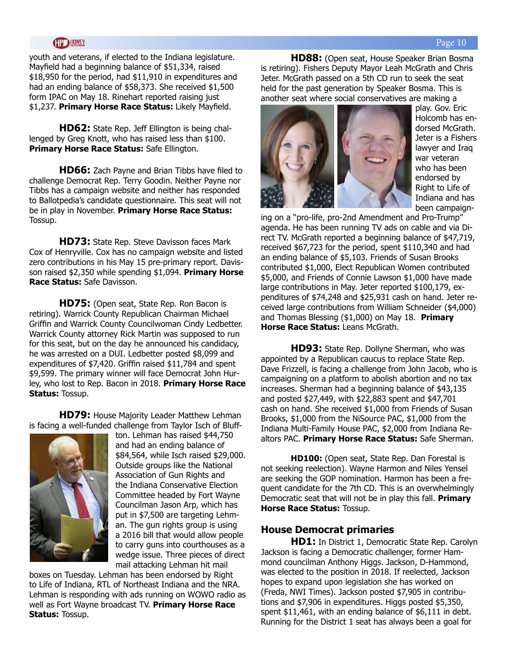youth and veterans, if elected to the Indiana legislature. Mayfield had a beginning balance of \$51,334, raised \$18,950 for the period, had \$11,910 in expenditures and had an ending balance of \$58,373. She received \$1,500 form IPAC on May 18. Rinehart reported raising just \$1,237. **Primary Horse Race Status:** Likely Mayfield.

**HD62:** State Rep. Jeff Ellington is being challenged by Greg Knott, who has raised less than \$100. **Primary Horse Race Status:** Safe Ellington.

**HD66:** Zach Payne and Brian Tibbs have filed to challenge Democrat Rep. Terry Goodin. Neither Payne nor Tibbs has a campaign website and neither has responded to Ballotpedia's candidate questionnaire. This seat will not be in play in November. **Primary Horse Race Status:**  Tossup.

**HD73:** State Rep. Steve Davisson faces Mark Cox of Henryville. Cox has no campaign website and listed zero contributions in his May 15 pre-primary report. Davisson raised \$2,350 while spending \$1,094. **Primary Horse Race Status:** Safe Davisson.

**HD75:** (Open seat, State Rep. Ron Bacon is retiring). Warrick County Republican Chairman Michael Griffin and Warrick County Councilwoman Cindy Ledbetter. Warrick County attorney Rick Martin was supposed to run for this seat, but on the day he announced his candidacy, he was arrested on a DUI. Ledbetter posted \$8,099 and expenditures of \$7,420. Griffin raised \$11,784 and spent \$9,599. The primary winner will face Democrat John Hurley, who lost to Rep. Bacon in 2018. **Primary Horse Race Status:** Tossup.

**HD79:** House Majority Leader Matthew Lehman is facing a well-funded challenge from Taylor Isch of Bluff-



ton. Lehman has raised \$44,750 and had an ending balance of \$84,564, while Isch raised \$29,000. Outside groups like the National Association of Gun Rights and the Indiana Conservative Election Committee headed by Fort Wayne Councilman Jason Arp, which has put in \$7,500 are targeting Lehman. The gun rights group is using a 2016 bill that would allow people to carry guns into courthouses as a wedge issue. Three pieces of direct mail attacking Lehman hit mail

boxes on Tuesday. Lehman has been endorsed by Right to Life of Indiana, RTL of Northeast Indiana and the NRA. Lehman is responding with ads running on WOWO radio as well as Fort Wayne broadcast TV. **Primary Horse Race Status:** Tossup.

**HD88:** (Open seat, House Speaker Brian Bosma is retiring). Fishers Deputy Mayor Leah McGrath and Chris Jeter. McGrath passed on a 5th CD run to seek the seat held for the past generation by Speaker Bosma. This is another seat where social conservatives are making a



play. Gov. Eric Holcomb has endorsed McGrath. Jeter is a Fishers lawyer and Iraq war veteran who has been endorsed by Right to Life of Indiana and has been campaign-

ing on a "pro-life, pro-2nd Amendment and Pro-Trump" agenda. He has been running TV ads on cable and via Direct TV. McGrath reported a beginning balance of \$47,719, received \$67,723 for the period, spent \$110,340 and had an ending balance of \$5,103. Friends of Susan Brooks contributed \$1,000, Elect Republican Women contributed \$5,000, and Friends of Connie Lawson \$1,000 have made large contributions in May. Jeter reported \$100,179, expenditures of \$74,248 and \$25,931 cash on hand. Jeter received large contributions from William Schneider (\$4,000) and Thomas Blessing (\$1,000) on May 18. **Primary Horse Race Status:** Leans McGrath.

**HD93:** State Rep. Dollyne Sherman, who was appointed by a Republican caucus to replace State Rep. Dave Frizzell, is facing a challenge from John Jacob, who is campaigning on a platform to abolish abortion and no tax increases. Sherman had a beginning balance of \$43,135 and posted \$27,449, with \$22,883 spent and \$47,701 cash on hand. She received \$1,000 from Friends of Susan Brooks, \$1,000 from the NiSource PAC, \$1,000 from the Indiana Multi-Family House PAC, \$2,000 from Indiana Realtors PAC. **Primary Horse Race Status:** Safe Sherman.

**HD100:** (Open seat, State Rep. Dan Forestal is not seeking reelection). Wayne Harmon and Niles Yensel are seeking the GOP nomination. Harmon has been a frequent candidate for the 7th CD. This is an overwhelmingly Democratic seat that will not be in play this fall. **Primary Horse Race Status:** Tossup.

### **House Democrat primaries**

**HD1:** In District 1, Democratic State Rep. Carolyn Jackson is facing a Democratic challenger, former Hammond councilman Anthony Higgs. Jackson, D-Hammond, was elected to the position in 2018. If reelected, Jackson hopes to expand upon legislation she has worked on (Freda, NWI Times). Jackson posted \$7,905 in contributions and \$7,906 in expenditures. Higgs posted \$5,350, spent \$11,461, with an ending balance of \$6,111 in debt. Running for the District 1 seat has always been a goal for

### Page 10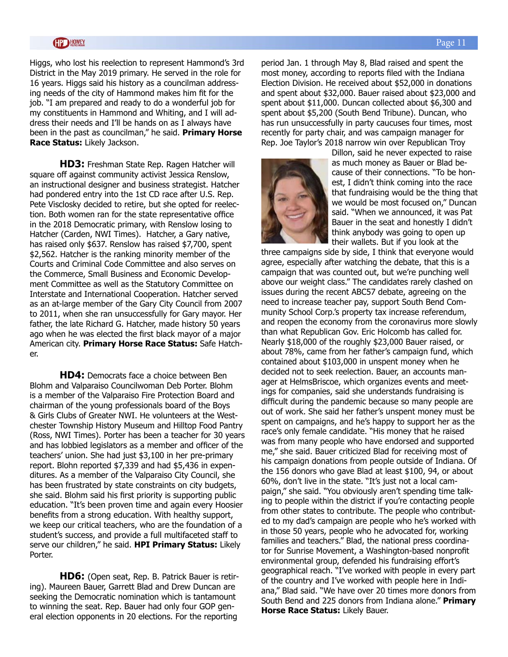Higgs, who lost his reelection to represent Hammond's 3rd District in the May 2019 primary. He served in the role for 16 years. Higgs said his history as a councilman addressing needs of the city of Hammond makes him fit for the job. "I am prepared and ready to do a wonderful job for my constituents in Hammond and Whiting, and I will address their needs and I'll be hands on as I always have been in the past as councilman," he said. **Primary Horse Race Status:** Likely Jackson.

**HD3:** Freshman State Rep. Ragen Hatcher will square off against community activist Jessica Renslow, an instructional designer and business strategist. Hatcher had pondered entry into the 1st CD race after U.S. Rep. Pete Visclosky decided to retire, but she opted for reelection. Both women ran for the state representative office in the 2018 Democratic primary, with Renslow losing to Hatcher (Carden, NWI Times). Hatcher, a Gary native, has raised only \$637. Renslow has raised \$7,700, spent \$2,562. Hatcher is the ranking minority member of the Courts and Criminal Code Committee and also serves on the Commerce, Small Business and Economic Development Committee as well as the Statutory Committee on Interstate and International Cooperation. Hatcher served as an at-large member of the Gary City Council from 2007 to 2011, when she ran unsuccessfully for Gary mayor. Her father, the late Richard G. Hatcher, made history 50 years ago when he was elected the first black mayor of a major American city. **Primary Horse Race Status:** Safe Hatcher.

**HD4:** Democrats face a choice between Ben Blohm and Valparaiso Councilwoman Deb Porter. Blohm is a member of the Valparaiso Fire Protection Board and chairman of the young professionals board of the Boys & Girls Clubs of Greater NWI. He volunteers at the Westchester Township History Museum and Hilltop Food Pantry (Ross, NWI Times). Porter has been a teacher for 30 years and has lobbied legislators as a member and officer of the teachers' union. She had just \$3,100 in her pre-primary report. Blohn reported \$7,339 and had \$5,436 in expenditures. As a member of the Valparaiso City Council, she has been frustrated by state constraints on city budgets, she said. Blohm said his first priority is supporting public education. "It's been proven time and again every Hoosier benefits from a strong education. With healthy support, we keep our critical teachers, who are the foundation of a student's success, and provide a full multifaceted staff to serve our children," he said. **HPI Primary Status:** Likely Porter.

**HD6:** (Open seat, Rep. B. Patrick Bauer is retiring). Maureen Bauer, Garrett Blad and Drew Duncan are seeking the Democratic nomination which is tantamount to winning the seat. Rep. Bauer had only four GOP general election opponents in 20 elections. For the reporting

period Jan. 1 through May 8, Blad raised and spent the most money, according to reports filed with the Indiana Election Division. He received about \$52,000 in donations and spent about \$32,000. Bauer raised about \$23,000 and spent about \$11,000. Duncan collected about \$6,300 and spent about \$5,200 (South Bend Tribune). Duncan, who has run unsuccessfully in party caucuses four times, most recently for party chair, and was campaign manager for Rep. Joe Taylor's 2018 narrow win over Republican Troy



Dillon, said he never expected to raise as much money as Bauer or Blad because of their connections. "To be honest, I didn't think coming into the race that fundraising would be the thing that we would be most focused on," Duncan said. "When we announced, it was Pat Bauer in the seat and honestly I didn't think anybody was going to open up their wallets. But if you look at the

three campaigns side by side, I think that everyone would agree, especially after watching the debate, that this is a campaign that was counted out, but we're punching well above our weight class." The candidates rarely clashed on issues during the recent ABC57 debate, agreeing on the need to increase teacher pay, support South Bend Community School Corp.'s property tax increase referendum, and reopen the economy from the coronavirus more slowly than what Republican Gov. Eric Holcomb has called for. Nearly \$18,000 of the roughly \$23,000 Bauer raised, or about 78%, came from her father's campaign fund, which contained about \$103,000 in unspent money when he decided not to seek reelection. Bauer, an accounts manager at HelmsBriscoe, which organizes events and meetings for companies, said she understands fundraising is difficult during the pandemic because so many people are out of work. She said her father's unspent money must be spent on campaigns, and he's happy to support her as the race's only female candidate. "His money that he raised was from many people who have endorsed and supported me," she said. Bauer criticized Blad for receiving most of his campaign donations from people outside of Indiana. Of the 156 donors who gave Blad at least \$100, 94, or about 60%, don't live in the state. "It's just not a local campaign," she said. "You obviously aren't spending time talking to people within the district if you're contacting people from other states to contribute. The people who contributed to my dad's campaign are people who he's worked with in those 50 years, people who he advocated for, working families and teachers." Blad, the national press coordinator for Sunrise Movement, a Washington-based nonprofit environmental group, defended his fundraising effort's geographical reach. "I've worked with people in every part of the country and I've worked with people here in Indiana," Blad said. "We have over 20 times more donors from South Bend and 225 donors from Indiana alone." **Primary Horse Race Status:** Likely Bauer.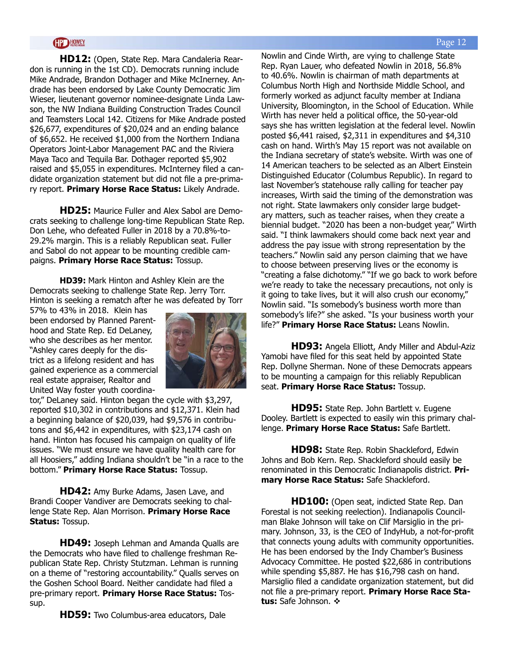**HD12:** (Open, State Rep. Mara Candaleria Reardon is running in the 1st CD). Democrats running include Mike Andrade, Brandon Dothager and Mike McInerney. Andrade has been endorsed by Lake County Democratic Jim Wieser, lieutenant governor nominee-designate Linda Lawson, the NW Indiana Building Construction Trades Council and Teamsters Local 142. Citizens for Mike Andrade posted \$26,677, expenditures of \$20,024 and an ending balance of \$6,652. He received \$1,000 from the Northern Indiana Operators Joint-Labor Management PAC and the Riviera Maya Taco and Tequila Bar. Dothager reported \$5,902 raised and \$5,055 in expenditures. McInterney filed a candidate organization statement but did not file a pre-primary report. **Primary Horse Race Status:** Likely Andrade.

**HD25:** Maurice Fuller and Alex Sabol are Democrats seeking to challenge long-time Republican State Rep. Don Lehe, who defeated Fuller in 2018 by a 70.8%-to-29.2% margin. This is a reliably Republican seat. Fuller and Sabol do not appear to be mounting credible campaigns. **Primary Horse Race Status:** Tossup.

**HD39:** Mark Hinton and Ashley Klein are the Democrats seeking to challenge State Rep. Jerry Torr. Hinton is seeking a rematch after he was defeated by Torr

57% to 43% in 2018. Klein has been endorsed by Planned Parenthood and State Rep. Ed DeLaney, who she describes as her mentor. "Ashley cares deeply for the district as a lifelong resident and has gained experience as a commercial real estate appraiser, Realtor and United Way foster youth coordina-



tor," DeLaney said. Hinton began the cycle with \$3,297, reported \$10,302 in contributions and \$12,371. Klein had a beginning balance of \$20,039, had \$9,576 in contributons and \$6,442 in expenditures, with \$23,174 cash on hand. Hinton has focused his campaign on quality of life issues. "We must ensure we have quality health care for all Hoosiers," adding Indiana shouldn't be "in a race to the bottom." **Primary Horse Race Status:** Tossup.

**HD42:** Amy Burke Adams, Jasen Lave, and Brandi Cooper Vandiver are Democrats seeking to challenge State Rep. Alan Morrison. **Primary Horse Race Status:** Tossup.

**HD49:** Joseph Lehman and Amanda Qualls are the Democrats who have filed to challenge freshman Republican State Rep. Christy Stutzman. Lehman is running on a theme of "restoring accountability." Qualls serves on the Goshen School Board. Neither candidate had filed a pre-primary report. **Primary Horse Race Status:** Tossup.

**HD59:** Two Columbus-area educators, Dale

Nowlin and Cinde Wirth, are vying to challenge State Rep. Ryan Lauer, who defeated Nowlin in 2018, 56.8% to 40.6%. Nowlin is chairman of math departments at Columbus North High and Northside Middle School, and formerly worked as adjunct faculty member at Indiana University, Bloomington, in the School of Education. While Wirth has never held a political office, the 50-year-old says she has written legislation at the federal level. Nowlin posted \$6,441 raised, \$2,311 in expenditures and \$4,310 cash on hand. Wirth's May 15 report was not available on the Indiana secretary of state's website. Wirth was one of 14 American teachers to be selected as an Albert Einstein Distinguished Educator (Columbus Republic). In regard to last November's statehouse rally calling for teacher pay increases, Wirth said the timing of the demonstration was not right. State lawmakers only consider large budgetary matters, such as teacher raises, when they create a biennial budget. "2020 has been a non-budget year," Wirth said. "I think lawmakers should come back next year and address the pay issue with strong representation by the teachers." Nowlin said any person claiming that we have to choose between preserving lives or the economy is "creating a false dichotomy." "If we go back to work before we're ready to take the necessary precautions, not only is it going to take lives, but it will also crush our economy," Nowlin said. "Is somebody's business worth more than somebody's life?" she asked. "Is your business worth your life?" **Primary Horse Race Status:** Leans Nowlin.

**HD93:** Angela Elliott, Andy Miller and Abdul-Aziz Yamobi have filed for this seat held by appointed State Rep. Dollyne Sherman. None of these Democrats appears to be mounting a campaign for this reliably Republican seat. **Primary Horse Race Status:** Tossup.

**HD95:** State Rep. John Bartlett v. Eugene Dooley. Bartlett is expected to easily win this primary challenge. **Primary Horse Race Status:** Safe Bartlett.

**HD98:** State Rep. Robin Shackleford, Edwin Johns and Bob Kern. Rep. Shackleford should easily be renominated in this Democratic Indianapolis district. **Primary Horse Race Status:** Safe Shackleford.

**HD100:** (Open seat, indicted State Rep. Dan Forestal is not seeking reelection). Indianapolis Councilman Blake Johnson will take on Clif Marsiglio in the primary. Johnson, 33, is the CEO of IndyHub, a not-for-profit that connects young adults with community opportunities. He has been endorsed by the Indy Chamber's Business Advocacy Committee. He posted \$22,686 in contributions while spending \$5,887. He has \$16,798 cash on hand. Marsiglio filed a candidate organization statement, but did not file a pre-primary report. **Primary Horse Race Sta**tus: Safe Johnson.  $\cdot$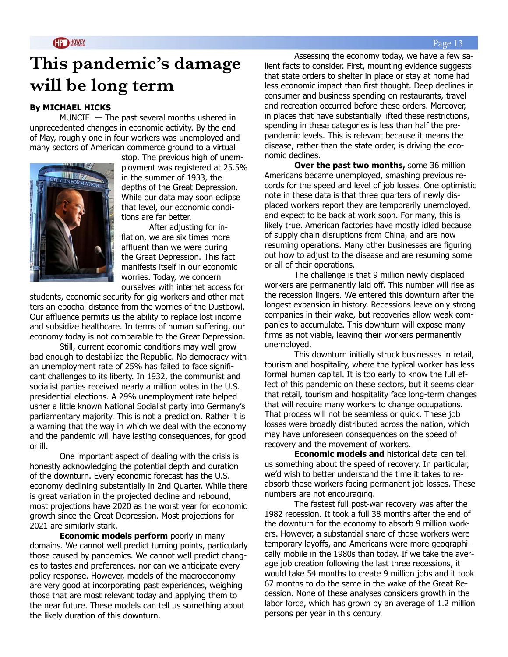# **This pandemic's damage will be long term**

### **By MICHAEL HICKS**

MUNCIE — The past several months ushered in unprecedented changes in economic activity. By the end of May, roughly one in four workers was unemployed and many sectors of American commerce ground to a virtual



stop. The previous high of unemployment was registered at 25.5% in the summer of 1933, the depths of the Great Depression. While our data may soon eclipse that level, our economic conditions are far better.

After adjusting for inflation, we are six times more affluent than we were during the Great Depression. This fact manifests itself in our economic worries. Today, we concern ourselves with internet access for

students, economic security for gig workers and other matters an epochal distance from the worries of the Dustbowl. Our affluence permits us the ability to replace lost income and subsidize healthcare. In terms of human suffering, our economy today is not comparable to the Great Depression.

Still, current economic conditions may well grow bad enough to destabilize the Republic. No democracy with an unemployment rate of 25% has failed to face significant challenges to its liberty. In 1932, the communist and socialist parties received nearly a million votes in the U.S. presidential elections. A 29% unemployment rate helped usher a little known National Socialist party into Germany's parliamentary majority. This is not a prediction. Rather it is a warning that the way in which we deal with the economy and the pandemic will have lasting consequences, for good or ill.

One important aspect of dealing with the crisis is honestly acknowledging the potential depth and duration of the downturn. Every economic forecast has the U.S. economy declining substantially in 2nd Quarter. While there is great variation in the projected decline and rebound, most projections have 2020 as the worst year for economic growth since the Great Depression. Most projections for 2021 are similarly stark.

**Economic models perform** poorly in many domains. We cannot well predict turning points, particularly those caused by pandemics. We cannot well predict changes to tastes and preferences, nor can we anticipate every policy response. However, models of the macroeconomy are very good at incorporating past experiences, weighing those that are most relevant today and applying them to the near future. These models can tell us something about the likely duration of this downturn.

Assessing the economy today, we have a few salient facts to consider. First, mounting evidence suggests that state orders to shelter in place or stay at home had less economic impact than first thought. Deep declines in consumer and business spending on restaurants, travel and recreation occurred before these orders. Moreover, in places that have substantially lifted these restrictions, spending in these categories is less than half the prepandemic levels. This is relevant because it means the disease, rather than the state order, is driving the economic declines.

**Over the past two months, some 36 million** Americans became unemployed, smashing previous records for the speed and level of job losses. One optimistic note in these data is that three quarters of newly displaced workers report they are temporarily unemployed, and expect to be back at work soon. For many, this is likely true. American factories have mostly idled because of supply chain disruptions from China, and are now resuming operations. Many other businesses are figuring out how to adjust to the disease and are resuming some or all of their operations.

The challenge is that 9 million newly displaced workers are permanently laid off. This number will rise as the recession lingers. We entered this downturn after the longest expansion in history. Recessions leave only strong companies in their wake, but recoveries allow weak companies to accumulate. This downturn will expose many firms as not viable, leaving their workers permanently unemployed.

This downturn initially struck businesses in retail, tourism and hospitality, where the typical worker has less formal human capital. It is too early to know the full effect of this pandemic on these sectors, but it seems clear that retail, tourism and hospitality face long-term changes that will require many workers to change occupations. That process will not be seamless or quick. These job losses were broadly distributed across the nation, which may have unforeseen consequences on the speed of recovery and the movement of workers.

**Economic models and** historical data can tell us something about the speed of recovery. In particular, we'd wish to better understand the time it takes to reabsorb those workers facing permanent job losses. These numbers are not encouraging.

The fastest full post-war recovery was after the 1982 recession. It took a full 38 months after the end of the downturn for the economy to absorb 9 million workers. However, a substantial share of those workers were temporary layoffs, and Americans were more geographically mobile in the 1980s than today. If we take the average job creation following the last three recessions, it would take 54 months to create 9 million jobs and it took 67 months to do the same in the wake of the Great Recession. None of these analyses considers growth in the labor force, which has grown by an average of 1.2 million persons per year in this century.

#### Page 13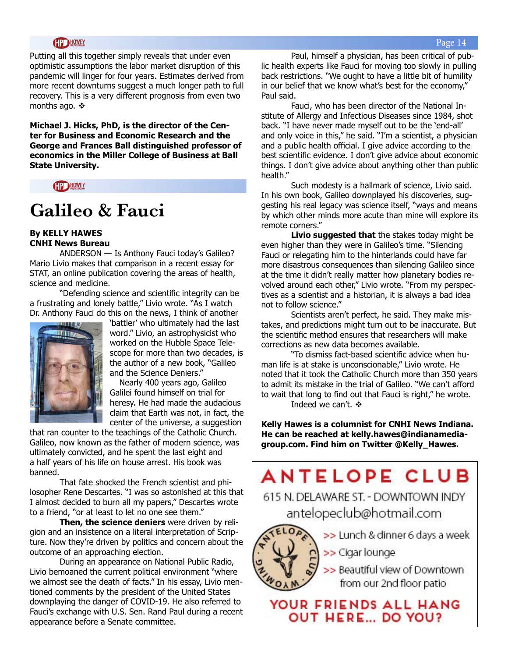Putting all this together simply reveals that under even optimistic assumptions the labor market disruption of this pandemic will linger for four years. Estimates derived from more recent downturns suggest a much longer path to full recovery. This is a very different prognosis from even two months ago.  $\cdot\cdot\cdot$ 

**Michael J. Hicks, PhD, is the director of the Center for Business and Economic Research and the George and Frances Ball distinguished professor of economics in the Miller College of Business at Ball State University.** 



## **Galileo & Fauci**

### **By KELLY HAWES CNHI News Bureau**

ANDERSON — Is Anthony Fauci today's Galileo? Mario Livio makes that comparison in a recent essay for STAT, an online publication covering the areas of health, science and medicine.

"Defending science and scientific integrity can be a frustrating and lonely battle," Livio wrote. "As I watch Dr. Anthony Fauci do this on the news, I think of another



'battler' who ultimately had the last word." Livio, an astrophysicist who worked on the Hubble Space Telescope for more than two decades, is the author of a new book, "Galileo and the Science Deniers."

Nearly 400 years ago, Galileo Galilei found himself on trial for heresy. He had made the audacious claim that Earth was not, in fact, the center of the universe, a suggestion

that ran counter to the teachings of the Catholic Church. Galileo, now known as the father of modern science, was ultimately convicted, and he spent the last eight and a half years of his life on house arrest. His book was banned.

That fate shocked the French scientist and philosopher Rene Descartes. "I was so astonished at this that I almost decided to burn all my papers," Descartes wrote to a friend, "or at least to let no one see them."

**Then, the science deniers** were driven by religion and an insistence on a literal interpretation of Scripture. Now they're driven by politics and concern about the outcome of an approaching election.

During an appearance on National Public Radio, Livio bemoaned the current political environment "where we almost see the death of facts." In his essay, Livio mentioned comments by the president of the United States downplaying the danger of COVID-19. He also referred to Fauci's exchange with U.S. Sen. Rand Paul during a recent appearance before a Senate committee.

Paul, himself a physician, has been critical of public health experts like Fauci for moving too slowly in pulling back restrictions. "We ought to have a little bit of humility in our belief that we know what's best for the economy," Paul said.

Fauci, who has been director of the National Institute of Allergy and Infectious Diseases since 1984, shot back. "I have never made myself out to be the 'end-all' and only voice in this," he said. "I'm a scientist, a physician and a public health official. I give advice according to the best scientific evidence. I don't give advice about economic things. I don't give advice about anything other than public health."

Such modesty is a hallmark of science, Livio said. In his own book, Galileo downplayed his discoveries, suggesting his real legacy was science itself, "ways and means by which other minds more acute than mine will explore its remote corners."

**Livio suggested that** the stakes today might be even higher than they were in Galileo's time. "Silencing Fauci or relegating him to the hinterlands could have far more disastrous consequences than silencing Galileo since at the time it didn't really matter how planetary bodies revolved around each other," Livio wrote. "From my perspectives as a scientist and a historian, it is always a bad idea not to follow science."

Scientists aren't perfect, he said. They make mistakes, and predictions might turn out to be inaccurate. But the scientific method ensures that researchers will make corrections as new data becomes available.

"To dismiss fact-based scientific advice when human life is at stake is unconscionable," Livio wrote. He noted that it took the Catholic Church more than 350 years to admit its mistake in the trial of Galileo. "We can't afford to wait that long to find out that Fauci is right," he wrote. Indeed we can't.  $\div$ 

**Kelly Hawes is a columnist for CNHI News Indiana. He can be reached at kelly.hawes@indianamediagroup.com. Find him on Twitter @Kelly\_Hawes.** 

# **ANTELOPE CLUB**

615 N. DELAWARE ST. - DOWNTOWN INDY antelopeclub@hotmail.com



>> Lunch & dinner 6 days a week

>> Cigar lounge

>> Beautiful view of Downtown from our 2nd floor patio

YOUR FRIENDS ALL HANG **OUT HERE... DO YOU?**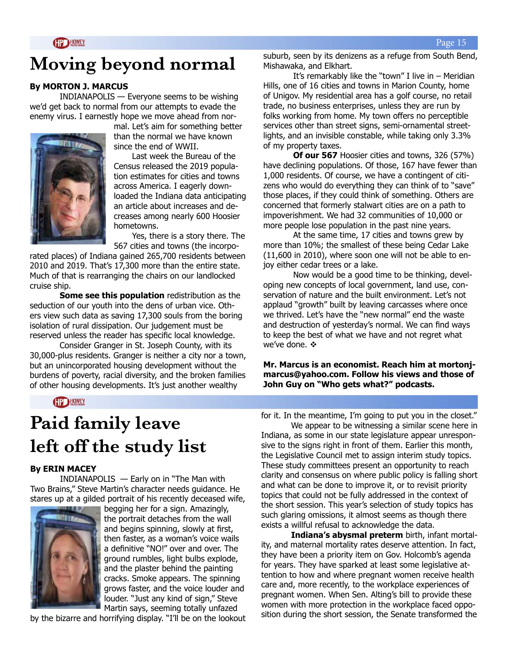# **Moving beyond normal**

### **By MORTON J. MARCUS**

INDIANAPOLIS — Everyone seems to be wishing we'd get back to normal from our attempts to evade the enemy virus. I earnestly hope we move ahead from nor-



mal. Let's aim for something better than the normal we have known since the end of WWII.

 Last week the Bureau of the Census released the 2019 population estimates for cities and towns across America. I eagerly downloaded the Indiana data anticipating an article about increases and decreases among nearly 600 Hoosier hometowns.

 Yes, there is a story there. The 567 cities and towns (the incorpo-

rated places) of Indiana gained 265,700 residents between 2010 and 2019. That's 17,300 more than the entire state. Much of that is rearranging the chairs on our landlocked cruise ship.

**Some see this population** redistribution as the seduction of our youth into the dens of urban vice. Others view such data as saving 17,300 souls from the boring isolation of rural dissipation. Our judgement must be reserved unless the reader has specific local knowledge.

Consider Granger in St. Joseph County, with its 30,000-plus residents. Granger is neither a city nor a town, but an unincorporated housing development without the burdens of poverty, racial diversity, and the broken families of other housing developments. It's just another wealthy

**GP HOWEY** 

suburb, seen by its denizens as a refuge from South Bend, Mishawaka, and Elkhart.

It's remarkably like the "town" I live in  $-$  Meridian Hills, one of 16 cities and towns in Marion County, home of Unigov. My residential area has a golf course, no retail trade, no business enterprises, unless they are run by folks working from home. My town offers no perceptible services other than street signs, semi-ornamental streetlights, and an invisible constable, while taking only 3.3% of my property taxes.

**Of our 567** Hoosier cities and towns, 326 (57%) have declining populations. Of those, 167 have fewer than 1,000 residents. Of course, we have a contingent of citizens who would do everything they can think of to "save" those places, if they could think of something. Others are concerned that formerly stalwart cities are on a path to impoverishment. We had 32 communities of 10,000 or more people lose population in the past nine years.

At the same time, 17 cities and towns grew by more than 10%; the smallest of these being Cedar Lake (11,600 in 2010), where soon one will not be able to enjoy either cedar trees or a lake.

 Now would be a good time to be thinking, developing new concepts of local government, land use, conservation of nature and the built environment. Let's not applaud "growth" built by leaving carcasses where once we thrived. Let's have the "new normal" end the waste and destruction of yesterday's normal. We can find ways to keep the best of what we have and not regret what we've done.  $\mathbf{\dot{\cdot}}$ 

**Mr. Marcus is an economist. Reach him at mortonjmarcus@yahoo.com. Follow his views and those of John Guy on "Who gets what?" podcasts.**

# **Paid family leave left off the study list**

### **By ERIN MACEY**

INDIANAPOLIS — Early on in "The Man with Two Brains," Steve Martin's character needs guidance. He stares up at a gilded portrait of his recently deceased wife,



begging her for a sign. Amazingly, the portrait detaches from the wall and begins spinning, slowly at first, then faster, as a woman's voice wails a definitive "NO!" over and over. The ground rumbles, light bulbs explode, and the plaster behind the painting cracks. Smoke appears. The spinning grows faster, and the voice louder and louder. "Just any kind of sign," Steve Martin says, seeming totally unfazed

by the bizarre and horrifying display. "I'll be on the lookout

for it. In the meantime, I'm going to put you in the closet."

We appear to be witnessing a similar scene here in Indiana, as some in our state legislature appear unresponsive to the signs right in front of them. Earlier this month, the Legislative Council met to assign interim study topics. These study committees present an opportunity to reach clarity and consensus on where public policy is falling short and what can be done to improve it, or to revisit priority topics that could not be fully addressed in the context of the short session. This year's selection of study topics has such glaring omissions, it almost seems as though there exists a willful refusal to acknowledge the data.

**Indiana's abysmal preterm** birth, infant mortality, and maternal mortality rates deserve attention. In fact, they have been a priority item on Gov. Holcomb's agenda for years. They have sparked at least some legislative attention to how and where pregnant women receive health care and, more recently, to the workplace experiences of pregnant women. When Sen. Alting's bill to provide these women with more protection in the workplace faced opposition during the short session, the Senate transformed the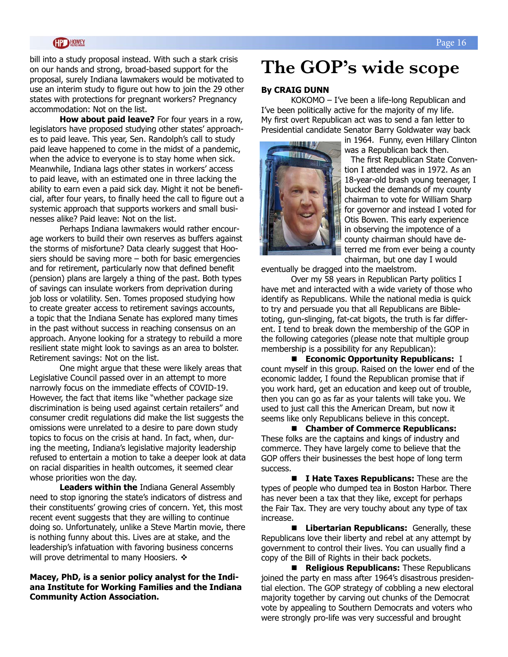bill into a study proposal instead. With such a stark crisis on our hands and strong, broad-based support for the proposal, surely Indiana lawmakers would be motivated to use an interim study to figure out how to join the 29 other states with protections for pregnant workers? Pregnancy accommodation: Not on the list.

**How about paid leave?** For four years in a row, legislators have proposed studying other states' approaches to paid leave. This year, Sen. Randolph's call to study paid leave happened to come in the midst of a pandemic, when the advice to everyone is to stay home when sick. Meanwhile, Indiana lags other states in workers' access to paid leave, with an estimated one in three lacking the ability to earn even a paid sick day. Might it not be beneficial, after four years, to finally heed the call to figure out a systemic approach that supports workers and small businesses alike? Paid leave: Not on the list.

Perhaps Indiana lawmakers would rather encourage workers to build their own reserves as buffers against the storms of misfortune? Data clearly suggest that Hoosiers should be saving more – both for basic emergencies and for retirement, particularly now that defined benefit (pension) plans are largely a thing of the past. Both types of savings can insulate workers from deprivation during job loss or volatility. Sen. Tomes proposed studying how to create greater access to retirement savings accounts, a topic that the Indiana Senate has explored many times in the past without success in reaching consensus on an approach. Anyone looking for a strategy to rebuild a more resilient state might look to savings as an area to bolster. Retirement savings: Not on the list.

One might argue that these were likely areas that Legislative Council passed over in an attempt to more narrowly focus on the immediate effects of COVID-19. However, the fact that items like "whether package size discrimination is being used against certain retailers" and consumer credit regulations did make the list suggests the omissions were unrelated to a desire to pare down study topics to focus on the crisis at hand. In fact, when, during the meeting, Indiana's legislative majority leadership refused to entertain a motion to take a deeper look at data on racial disparities in health outcomes, it seemed clear whose priorities won the day.

**Leaders within the** Indiana General Assembly need to stop ignoring the state's indicators of distress and their constituents' growing cries of concern. Yet, this most recent event suggests that they are willing to continue doing so. Unfortunately, unlike a Steve Martin movie, there is nothing funny about this. Lives are at stake, and the leadership's infatuation with favoring business concerns will prove detrimental to many Hoosiers.  $\mathbf{\hat{*}}$ 

### **Macey, PhD, is a senior policy analyst for the Indiana Institute for Working Families and the Indiana Community Action Association.**

## **The GOP's wide scope**

### **By CRAIG DUNN**

KOKOMO – I've been a life-long Republican and I've been politically active for the majority of my life. My first overt Republican act was to send a fan letter to Presidential candidate Senator Barry Goldwater way back

in 1964. Funny, even Hillary Clinton was a Republican back then.

The first Republican State Convention I attended was in 1972. As an 18-year-old brash young teenager, I bucked the demands of my county chairman to vote for William Sharp for governor and instead I voted for Otis Bowen. This early experience in observing the impotence of a county chairman should have deterred me from ever being a county chairman, but one day I would

eventually be dragged into the maelstrom.

Over my 58 years in Republican Party politics I have met and interacted with a wide variety of those who identify as Republicans. While the national media is quick to try and persuade you that all Republicans are Bibletoting, gun-slinging, fat-cat bigots, the truth is far different. I tend to break down the membership of the GOP in the following categories (please note that multiple group membership is a possibility for any Republican):

■ Economic Opportunity Republicans: I count myself in this group. Raised on the lower end of the economic ladder, I found the Republican promise that if you work hard, get an education and keep out of trouble, then you can go as far as your talents will take you. We used to just call this the American Dream, but now it seems like only Republicans believe in this concept.

■ Chamber of Commerce Republicans: These folks are the captains and kings of industry and commerce. They have largely come to believe that the GOP offers their businesses the best hope of long term success.

**n** I Hate Taxes Republicans: These are the types of people who dumped tea in Boston Harbor. There has never been a tax that they like, except for perhaps the Fair Tax. They are very touchy about any type of tax increase.

**E** Libertarian Republicans: Generally, these Republicans love their liberty and rebel at any attempt by government to control their lives. You can usually find a copy of the Bill of Rights in their back pockets.

**n Religious Republicans:** These Republicans joined the party en mass after 1964's disastrous presidential election. The GOP strategy of cobbling a new electoral majority together by carving out chunks of the Democrat vote by appealing to Southern Democrats and voters who were strongly pro-life was very successful and brought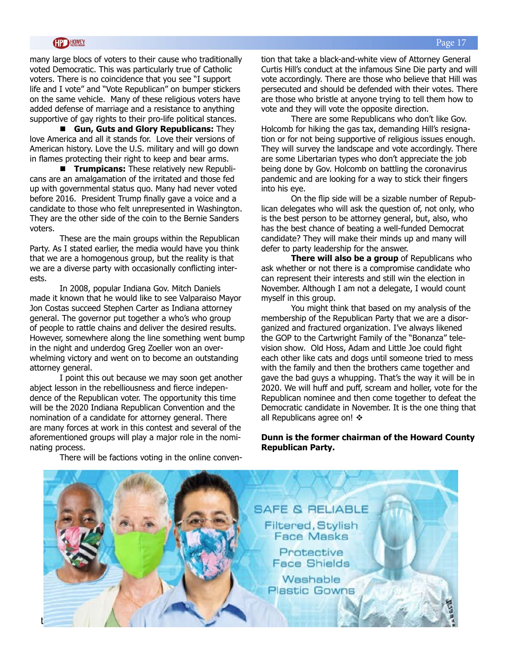### **HD HOWEY**

many large blocs of voters to their cause who traditionally voted Democratic. This was particularly true of Catholic voters. There is no coincidence that you see "I support life and I vote" and "Vote Republican" on bumper stickers on the same vehicle. Many of these religious voters have added defense of marriage and a resistance to anything supportive of gay rights to their pro-life political stances.

**E** Gun, Guts and Glory Republicans: They love America and all it stands for. Love their versions of American history. Love the U.S. military and will go down in flames protecting their right to keep and bear arms.

**Trumpicans:** These relatively new Republicans are an amalgamation of the irritated and those fed up with governmental status quo. Many had never voted before 2016. President Trump finally gave a voice and a candidate to those who felt unrepresented in Washington. They are the other side of the coin to the Bernie Sanders voters.

These are the main groups within the Republican Party. As I stated earlier, the media would have you think that we are a homogenous group, but the reality is that we are a diverse party with occasionally conflicting interests.

In 2008, popular Indiana Gov. Mitch Daniels made it known that he would like to see Valparaiso Mayor Jon Costas succeed Stephen Carter as Indiana attorney general. The governor put together a who's who group of people to rattle chains and deliver the desired results. However, somewhere along the line something went bump in the night and underdog Greg Zoeller won an overwhelming victory and went on to become an outstanding attorney general.

I point this out because we may soon get another abject lesson in the rebelliousness and fierce independence of the Republican voter. The opportunity this time will be the 2020 Indiana Republican Convention and the nomination of a candidate for attorney general. There are many forces at work in this contest and several of the aforementioned groups will play a major role in the nominating process. There will be factions voting in the online convention that take a black-and-white view of Attorney General Curtis Hill's conduct at the infamous Sine Die party and will vote accordingly. There are those who believe that Hill was persecuted and should be defended with their votes. There are those who bristle at anyone trying to tell them how to vote and they will vote the opposite direction.

There are some Republicans who don't like Gov. Holcomb for hiking the gas tax, demanding Hill's resignation or for not being supportive of religious issues enough. They will survey the landscape and vote accordingly. There are some Libertarian types who don't appreciate the job being done by Gov. Holcomb on battling the coronavirus pandemic and are looking for a way to stick their fingers into his eye.

On the flip side will be a sizable number of Republican delegates who will ask the question of, not only, who is the best person to be attorney general, but, also, who has the best chance of beating a well-funded Democrat candidate? They will make their minds up and many will defer to party leadership for the answer.

**There will also be a group** of Republicans who ask whether or not there is a compromise candidate who can represent their interests and still win the election in November. Although I am not a delegate, I would count myself in this group.

You might think that based on my analysis of the membership of the Republican Party that we are a disorganized and fractured organization. I've always likened the GOP to the Cartwright Family of the "Bonanza" television show. Old Hoss, Adam and Little Joe could fight each other like cats and dogs until someone tried to mess with the family and then the brothers came together and gave the bad guys a whupping. That's the way it will be in 2020. We will huff and puff, scream and holler, vote for the Republican nominee and then come together to defeat the Democratic candidate in November. It is the one thing that all Republicans agree on!  $\cdot$ 

### **Dunn is the former chairman of the Howard County Republican Party.**

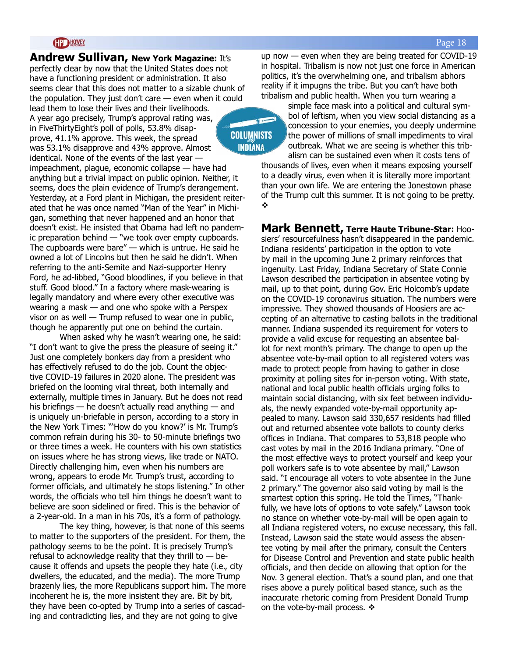**Andrew Sullivan, New York Magazine:** It's perfectly clear by now that the United States does not have a functioning president or administration. It also seems clear that this does not matter to a sizable chunk of the population. They just don't care  $-$  even when it could lead them to lose their lives and their livelihoods. A year ago precisely, Trump's approval rating was, in FiveThirtyEight's poll of polls, 53.8% disapprove, 41.1% approve. This week, the spread was 53.1% disapprove and 43% approve. Almost identical. None of the events of the last year impeachment, plague, economic collapse — have had anything but a trivial impact on public opinion. Neither, it seems, does the plain evidence of Trump's derangement. Yesterday, at a Ford plant in Michigan, the president reiterated that he was once named "Man of the Year" in Michigan, something that never happened and an honor that doesn't exist. He insisted that Obama had left no pandemic preparation behind — "we took over empty cupboards. The cupboards were bare" — which is untrue. He said he owned a lot of Lincolns but then he said he didn't. When referring to the anti-Semite and Nazi-supporter Henry Ford, he ad-libbed, "Good bloodlines, if you believe in that stuff. Good blood." In a factory where mask-wearing is legally mandatory and where every other executive was wearing a mask — and one who spoke with a Perspex visor on as well — Trump refused to wear one in public, though he apparently put one on behind the curtain.

When asked why he wasn't wearing one, he said: "I don't want to give the press the pleasure of seeing it." Just one completely bonkers day from a president who has effectively refused to do the job. Count the objective COVID-19 failures in 2020 alone. The president was briefed on the looming viral threat, both internally and externally, multiple times in January. But he does not read his briefings — he doesn't actually read anything — and is uniquely un-briefable in person, according to a story in the New York Times: "'How do you know?' is Mr. Trump's common refrain during his 30- to 50-minute briefings two or three times a week. He counters with his own statistics on issues where he has strong views, like trade or NATO. Directly challenging him, even when his numbers are wrong, appears to erode Mr. Trump's trust, according to former officials, and ultimately he stops listening." In other words, the officials who tell him things he doesn't want to believe are soon sidelined or fired. This is the behavior of a 2-year-old. In a man in his 70s, it's a form of pathology.

The key thing, however, is that none of this seems to matter to the supporters of the president. For them, the pathology seems to be the point. It is precisely Trump's refusal to acknowledge reality that they thrill to  $-$  because it offends and upsets the people they hate (i.e., city dwellers, the educated, and the media). The more Trump brazenly lies, the more Republicans support him. The more incoherent he is, the more insistent they are. Bit by bit, they have been co-opted by Trump into a series of cascading and contradicting lies, and they are not going to give

up now — even when they are being treated for COVID-19 in hospital. Tribalism is now not just one force in American politics, it's the overwhelming one, and tribalism abhors reality if it impugns the tribe. But you can't have both tribalism and public health. When you turn wearing a

### **COLUMNISTS INDIANA**

simple face mask into a political and cultural symbol of leftism, when you view social distancing as a concession to your enemies, you deeply undermine the power of millions of small impediments to viral outbreak. What we are seeing is whether this trib-

alism can be sustained even when it costs tens of thousands of lives, even when it means exposing yourself to a deadly virus, even when it is literally more important than your own life. We are entering the Jonestown phase of the Trump cult this summer. It is not going to be pretty.  $\boldsymbol{\psi}$ 

**Mark Bennett, Terre Haute Tribune-Star:** Hoosiers' resourcefulness hasn't disappeared in the pandemic. Indiana residents' participation in the option to vote by mail in the upcoming June 2 primary reinforces that ingenuity. Last Friday, Indiana Secretary of State Connie Lawson described the participation in absentee voting by mail, up to that point, during Gov. Eric Holcomb's update on the COVID-19 coronavirus situation. The numbers were impressive. They showed thousands of Hoosiers are accepting of an alternative to casting ballots in the traditional manner. Indiana suspended its requirement for voters to provide a valid excuse for requesting an absentee ballot for next month's primary. The change to open up the absentee vote-by-mail option to all registered voters was made to protect people from having to gather in close proximity at polling sites for in-person voting. With state, national and local public health officials urging folks to maintain social distancing, with six feet between individuals, the newly expanded vote-by-mail opportunity appealed to many. Lawson said 330,657 residents had filled out and returned absentee vote ballots to county clerks offices in Indiana. That compares to 53,818 people who cast votes by mail in the 2016 Indiana primary. "One of the most effective ways to protect yourself and keep your poll workers safe is to vote absentee by mail," Lawson said. "I encourage all voters to vote absentee in the June 2 primary." The governor also said voting by mail is the smartest option this spring. He told the Times, "Thankfully, we have lots of options to vote safely." Lawson took no stance on whether vote-by-mail will be open again to all Indiana registered voters, no excuse necessary, this fall. Instead, Lawson said the state would assess the absentee voting by mail after the primary, consult the Centers for Disease Control and Prevention and state public health officials, and then decide on allowing that option for the Nov. 3 general election. That's a sound plan, and one that rises above a purely political based stance, such as the inaccurate rhetoric coming from President Donald Trump on the vote-by-mail process.  $\div$